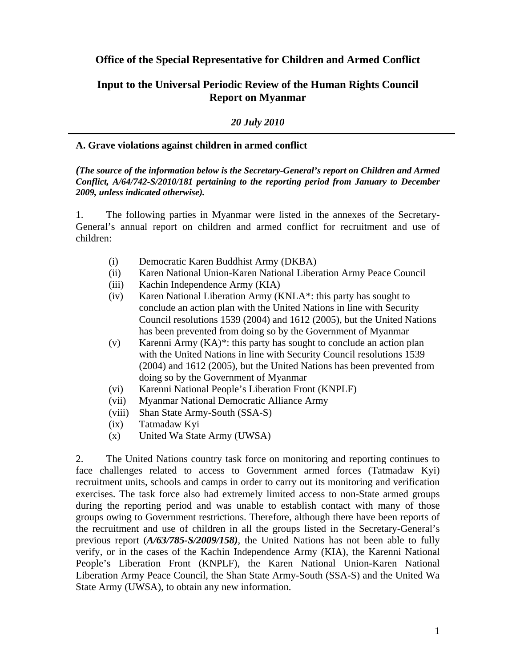**Office of the Special Representative for Children and Armed Conflict** 

# **Input to the Universal Periodic Review of the Human Rights Council Report on Myanmar**

*20 July 2010* 

#### **A. Grave violations against children in armed conflict**

#### *(The source of the information below is the Secretary-General's report on Children and Armed Conflict, A/64/742-S/2010/181 pertaining to the reporting period from January to December 2009, unless indicated otherwise).*

1. The following parties in Myanmar were listed in the annexes of the Secretary-General's annual report on children and armed conflict for recruitment and use of children:

- (i) Democratic Karen Buddhist Army (DKBA)
- (ii) Karen National Union-Karen National Liberation Army Peace Council
- (iii) Kachin Independence Army (KIA)
- (iv) Karen National Liberation Army (KNLA\*: this party has sought to conclude an action plan with the United Nations in line with Security Council resolutions 1539 (2004) and 1612 (2005), but the United Nations has been prevented from doing so by the Government of Myanmar
- (v) Karenni Army (KA)\*: this party has sought to conclude an action plan with the United Nations in line with Security Council resolutions 1539 (2004) and 1612 (2005), but the United Nations has been prevented from doing so by the Government of Myanmar
- (vi) Karenni National People's Liberation Front (KNPLF)
- (vii) Myanmar National Democratic Alliance Army
- (viii) Shan State Army-South (SSA-S)
- (ix) Tatmadaw Kyi
- (x) United Wa State Army (UWSA)

2. The United Nations country task force on monitoring and reporting continues to face challenges related to access to Government armed forces (Tatmadaw Kyi) recruitment units, schools and camps in order to carry out its monitoring and verification exercises. The task force also had extremely limited access to non-State armed groups during the reporting period and was unable to establish contact with many of those groups owing to Government restrictions. Therefore, although there have been reports of the recruitment and use of children in all the groups listed in the Secretary-General's previous report (*A/63/785-S/2009/158)*, the United Nations has not been able to fully verify, or in the cases of the Kachin Independence Army (KIA), the Karenni National People's Liberation Front (KNPLF), the Karen National Union-Karen National Liberation Army Peace Council, the Shan State Army-South (SSA-S) and the United Wa State Army (UWSA), to obtain any new information.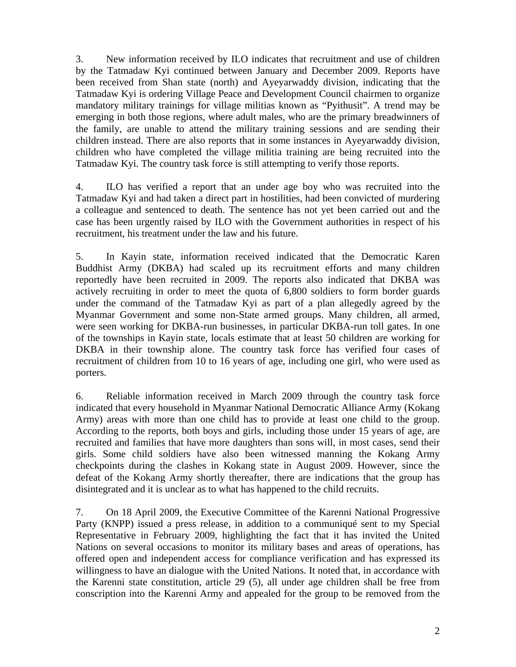3. New information received by ILO indicates that recruitment and use of children by the Tatmadaw Kyi continued between January and December 2009. Reports have been received from Shan state (north) and Ayeyarwaddy division, indicating that the Tatmadaw Kyi is ordering Village Peace and Development Council chairmen to organize mandatory military trainings for village militias known as "Pyithusit". A trend may be emerging in both those regions, where adult males, who are the primary breadwinners of the family, are unable to attend the military training sessions and are sending their children instead. There are also reports that in some instances in Ayeyarwaddy division, children who have completed the village militia training are being recruited into the Tatmadaw Kyi. The country task force is still attempting to verify those reports.

4. ILO has verified a report that an under age boy who was recruited into the Tatmadaw Kyi and had taken a direct part in hostilities, had been convicted of murdering a colleague and sentenced to death. The sentence has not yet been carried out and the case has been urgently raised by ILO with the Government authorities in respect of his recruitment, his treatment under the law and his future.

5. In Kayin state, information received indicated that the Democratic Karen Buddhist Army (DKBA) had scaled up its recruitment efforts and many children reportedly have been recruited in 2009. The reports also indicated that DKBA was actively recruiting in order to meet the quota of 6,800 soldiers to form border guards under the command of the Tatmadaw Kyi as part of a plan allegedly agreed by the Myanmar Government and some non-State armed groups. Many children, all armed, were seen working for DKBA-run businesses, in particular DKBA-run toll gates. In one of the townships in Kayin state, locals estimate that at least 50 children are working for DKBA in their township alone. The country task force has verified four cases of recruitment of children from 10 to 16 years of age, including one girl, who were used as porters.

6. Reliable information received in March 2009 through the country task force indicated that every household in Myanmar National Democratic Alliance Army (Kokang Army) areas with more than one child has to provide at least one child to the group. According to the reports, both boys and girls, including those under 15 years of age, are recruited and families that have more daughters than sons will, in most cases, send their girls. Some child soldiers have also been witnessed manning the Kokang Army checkpoints during the clashes in Kokang state in August 2009. However, since the defeat of the Kokang Army shortly thereafter, there are indications that the group has disintegrated and it is unclear as to what has happened to the child recruits.

7. On 18 April 2009, the Executive Committee of the Karenni National Progressive Party (KNPP) issued a press release, in addition to a communiqué sent to my Special Representative in February 2009, highlighting the fact that it has invited the United Nations on several occasions to monitor its military bases and areas of operations, has offered open and independent access for compliance verification and has expressed its willingness to have an dialogue with the United Nations. It noted that, in accordance with the Karenni state constitution, article 29 (5), all under age children shall be free from conscription into the Karenni Army and appealed for the group to be removed from the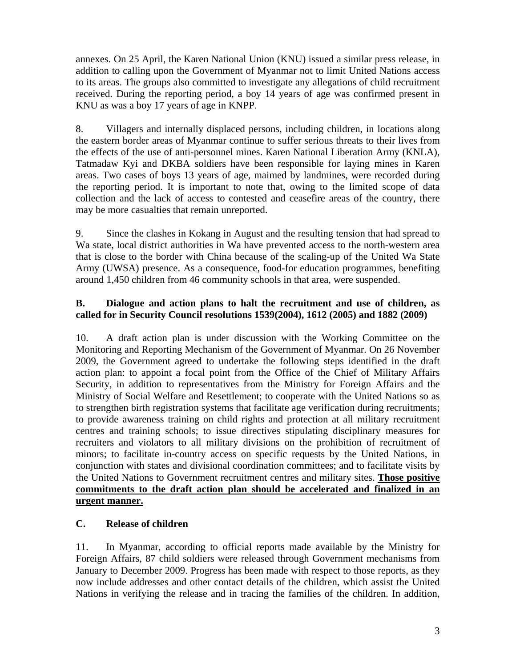annexes. On 25 April, the Karen National Union (KNU) issued a similar press release, in addition to calling upon the Government of Myanmar not to limit United Nations access to its areas. The groups also committed to investigate any allegations of child recruitment received. During the reporting period, a boy 14 years of age was confirmed present in KNU as was a boy 17 years of age in KNPP.

8. Villagers and internally displaced persons, including children, in locations along the eastern border areas of Myanmar continue to suffer serious threats to their lives from the effects of the use of anti-personnel mines. Karen National Liberation Army (KNLA), Tatmadaw Kyi and DKBA soldiers have been responsible for laying mines in Karen areas. Two cases of boys 13 years of age, maimed by landmines, were recorded during the reporting period. It is important to note that, owing to the limited scope of data collection and the lack of access to contested and ceasefire areas of the country, there may be more casualties that remain unreported.

9. Since the clashes in Kokang in August and the resulting tension that had spread to Wa state, local district authorities in Wa have prevented access to the north-western area that is close to the border with China because of the scaling-up of the United Wa State Army (UWSA) presence. As a consequence, food-for education programmes, benefiting around 1,450 children from 46 community schools in that area, were suspended.

### **B. Dialogue and action plans to halt the recruitment and use of children, as called for in Security Council resolutions 1539(2004), 1612 (2005) and 1882 (2009)**

10. A draft action plan is under discussion with the Working Committee on the Monitoring and Reporting Mechanism of the Government of Myanmar. On 26 November 2009, the Government agreed to undertake the following steps identified in the draft action plan: to appoint a focal point from the Office of the Chief of Military Affairs Security, in addition to representatives from the Ministry for Foreign Affairs and the Ministry of Social Welfare and Resettlement; to cooperate with the United Nations so as to strengthen birth registration systems that facilitate age verification during recruitments; to provide awareness training on child rights and protection at all military recruitment centres and training schools; to issue directives stipulating disciplinary measures for recruiters and violators to all military divisions on the prohibition of recruitment of minors; to facilitate in-country access on specific requests by the United Nations, in conjunction with states and divisional coordination committees; and to facilitate visits by the United Nations to Government recruitment centres and military sites. **Those positive commitments to the draft action plan should be accelerated and finalized in an urgent manner.**

# **C. Release of children**

11. In Myanmar, according to official reports made available by the Ministry for Foreign Affairs, 87 child soldiers were released through Government mechanisms from January to December 2009. Progress has been made with respect to those reports, as they now include addresses and other contact details of the children, which assist the United Nations in verifying the release and in tracing the families of the children. In addition,